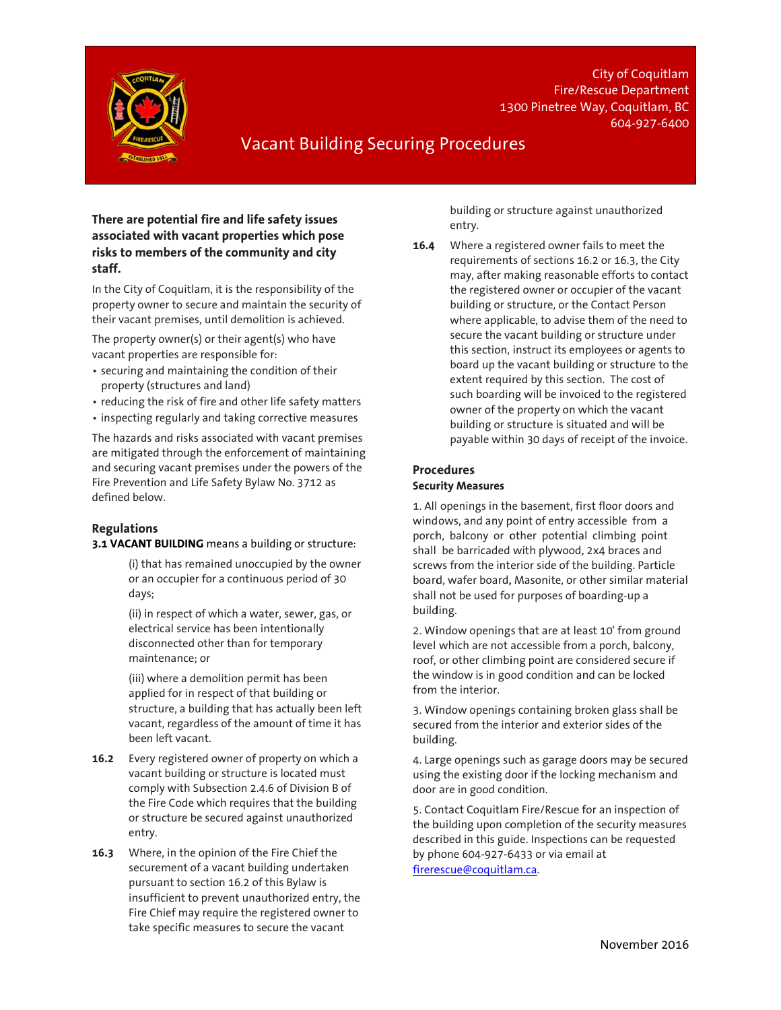

1300 Pinetree Way, Coquitlam, BC Fire/Rescue Department City of Coqu uitlam 604-927 7-6400

# Vacant Building Securing Procedures

## **There are potential fire e and life safet ty issues associated d with vacant properties w which pose risks to m embers of the e community and city staff.**

In the City of Coquitlam, it is the responsibility of the property owner to secure and maintain the security of their vacant premises, until demolition is achieved.

The property owner(s) or their agent(s) who have vacant pro perties are resp ponsible for:

- securing and maintaining the condition of their property (structures and d land)
- reducing the risk of fire and other life s safety matters
- inspecting regularly and taking corrective measures

The hazards and risks associated with vacant premises are mitigated through the enforcement of maintaining and securing vacant premises under the powers of the Fire Preven tion and Life Sa afety Bylaw No . 3712 as defined be low.

### **Regulatio ns**

#### **3.1 VACANT BUILDING** means a building or structure:

(i) that has remained unoccupied by the owner or a an occupier for a continuous p period of 30 day ys;

(ii) i in respect of wh hich a water, se ewer, gas, or elec ctrical service h has been intent ionally disconnected other than for temporary mai intenance; or

(iii) where a demo lition permit ha as been app plied for in resp ect of that buil ding or structure, a building that has actually been left vaca ant, regardless of the amount t of time it has been left vacant.

- **16.2** Every registered owner of property on which a vacant building or structure is located must com mply with Subse ection 2.4.6 of D Division B of the Fire Code which requires that the building or s structure be sec cured against u nauthorized ent ry.
- $16.3$ securement of a vacant building undertaken pur suant to sectio n 16.2 of this B Bylaw is insufficient to prevent unauthorized entry, the Fire e Chief may req uire the registe ered owner to take e specific meas ures to secure t the vacant ere, in the opin nion of the Fire Chief the

building or structure against unauthorized entry.

**16.4**<br>F<br>5<br>g<br>g Where a registered owner fails to meet the requirements of sections 16.2 or 16.3, the City may, after m making reasona ble efforts to c ontact the registered owner or occupier of the vacant building or structure, or the Contact Person where applicable, to advise them of the need to secure the vacant building or structure under this section, instruct its em mployees or age nts to board up the vacant building or structure to the extent required by this section. The cost of such boardin ng will be invoi ced to the regis stered owner of the property on which the vacant building or structure is situated and will be payable within 30 days of receipt of the invoice.

## **Proce edures Secur rity Measures**

1. All openings in the basement, first floor doors and wind ows, and any p point of entry a ccessible from a porch, balcony or other potential climbing point shall be barricaded with plywood, , 2x4 braces and shall be barricaded with plywood, 2x4 braces and<br>screws from the interior side of the building. Particle board, wafer board, Masonite, or other similar material shall not be used fo r purposes of b boarding-up a build ding.

2. Window openings that are at least 10' from ground level which are not accessible from m a porch, balco ony, roof, or other climbing point are considered secure if the window is in good condition and can be locked from the interior.

3. Window openings containing broken glass shall be secured from the interior and exterior sides of the build ding.

4. Large openings such as garage doors may be secured using the existing door if the locking mechanism and door are in good condition.

5. Contact Coquitlam Fire/Rescue for an inspection of the building upon completion of the security measures described in this guide. Inspections can be requested by ph hone 604-927-6 6433 or via ema ail at <u>firerescue@coquitlam.ca</u>.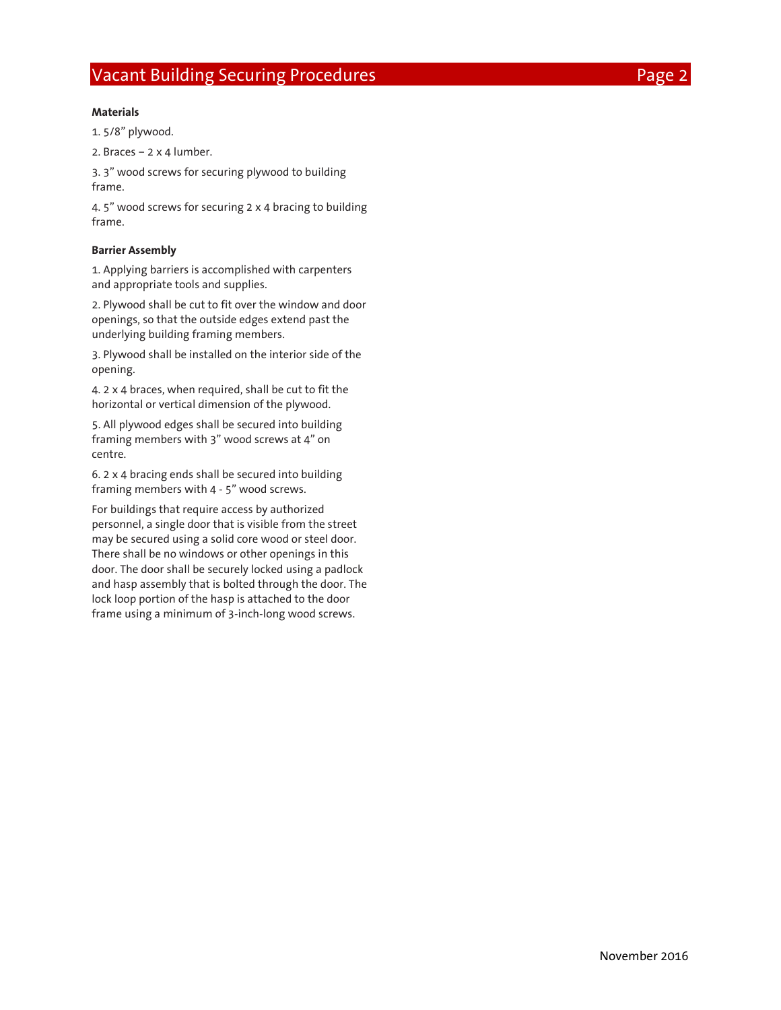#### **Materials**

1. 5/8" plywood.

2. Braces – 2 x 4 lumber.

3. 3" wood screws for securing plywood to building frame.

4. 5" wood screws for securing 2 x 4 bracing to building frame.

#### **Barrier Assembly**

1. Applying barriers is accomplished with carpenters and appropriate tools and supplies.

2. Plywood shall be cut to fit over the window and door openings, so that the outside edges extend past the underlying building framing members.

3. Plywood shall be installed on the interior side of the opening.

4. 2 x 4 braces, when required, shall be cut to fit the horizontal or vertical dimension of the plywood.

5. All plywood edges shall be secured into building framing members with 3" wood screws at 4" on centre.

6. 2 x 4 bracing ends shall be secured into building framing members with 4 - 5" wood screws.

For buildings that require access by authorized personnel, a single door that is visible from the street may be secured using a solid core wood or steel door. There shall be no windows or other openings in this door. The door shall be securely locked using a padlock and hasp assembly that is bolted through the door. The lock loop portion of the hasp is attached to the door frame using a minimum of 3-inch-long wood screws.